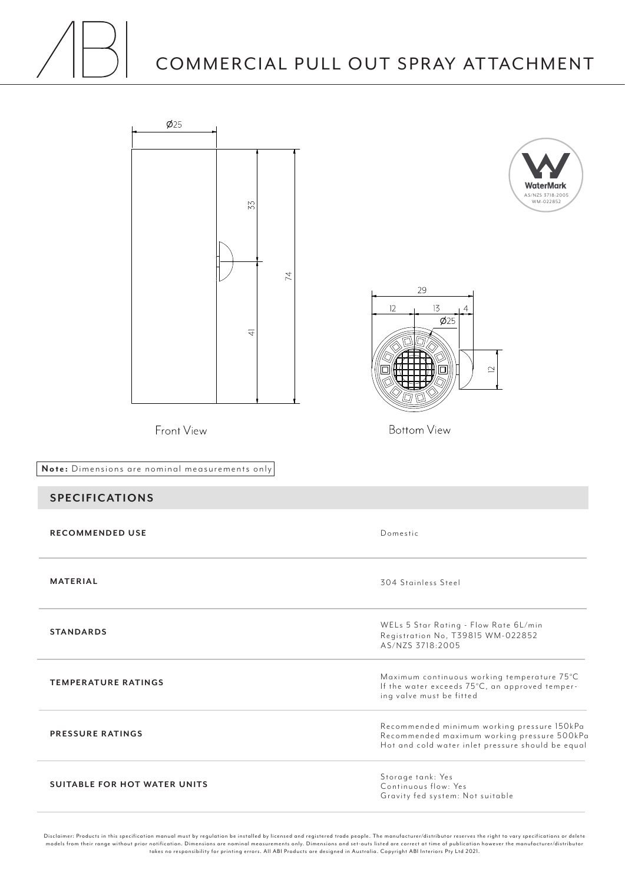## COMMERCIAL PULL OUT SPRAY ATTACHMENT



Disclaimer: Products in this specification manual must by regulation be installed by licensed and registered trade people. The manufacturer/distributor reser ves the right to var y specifications or delete models from their range without prior notification. Dimensions are nominal measurements only. Dimensions and set-outs listed are correct at time of publication however the manufacturer/distributor<br>takes no responsibility f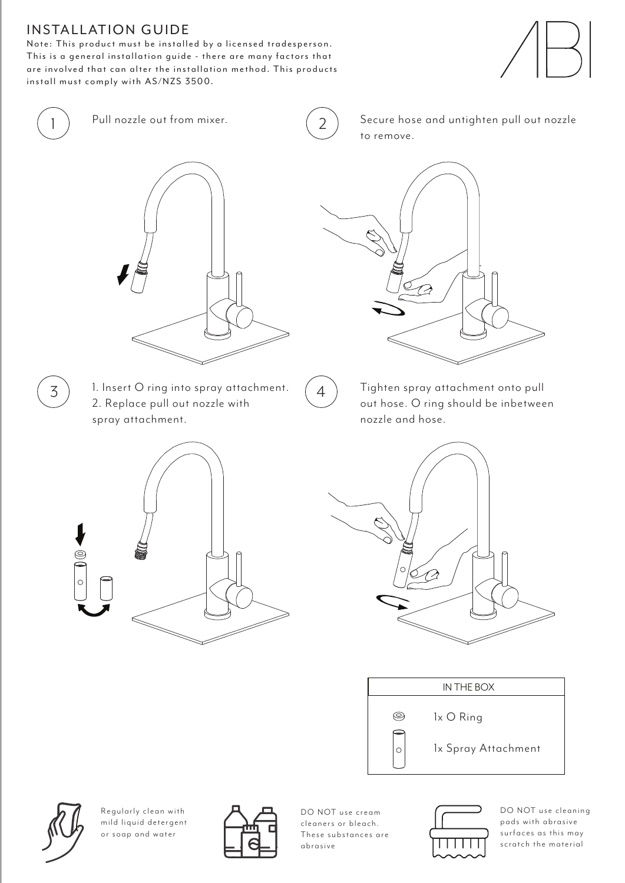## **INSTALLATION GUIDE**

Note: This product must be installed by a licensed tradesperson. This is a general installation guide - there are many factors that are involved that can alter the installation method. This products install must comply with AS/NZS 3500.







1 ) Pull nozzle out from mixer.  $(2)$  Secure hose and untighten pull out nozzle to remove.



- $\overline{3}$  ) 1. Insert O ring into spray attachment.  $\left(4\right)$ 2. Replace pull out nozzle with spray attachment.
- 



Tighten spray attachment onto pull out hose. O ring should be inbetween nozzle and hose.









Regularly clean with mild liquid detergent or soap and water



DO NOT use cream cleaners or bleach. These substances are abrasive



DO NOT use cleaning pads with abrasive surfaces as this may scratch the material